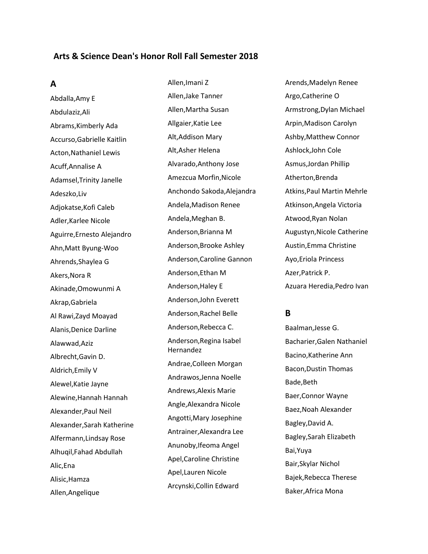### **Arts & Science Dean's Honor Roll Fall Semester 2018**

### **A**

Abdalla,Amy E Abdulaziz,Ali Abrams,Kimberly Ada Accurso,Gabrielle Kaitlin Acton,Nathaniel Lewis Acuff,Annalise A Adamsel,Trinity Janelle Adeszko,Liv Adjokatse,Kofi Caleb Adler,Karlee Nicole Aguirre,Ernesto Alejandro Ahn,Matt Byung-Woo Ahrends,Shaylea G Akers,Nora R Akinade,Omowunmi A Akrap,Gabriela Al Rawi,Zayd Moayad Alanis,Denice Darline Alawwad,Aziz Albrecht,Gavin D. Aldrich,Emily V Alewel,Katie Jayne Alewine,Hannah Hannah Alexander,Paul Neil Alexander,Sarah Katherine Alfermann,Lindsay Rose Alhuqil,Fahad Abdullah Alic,Ena Alisic,Hamza Allen,Angelique

Allen,Imani Z Allen,Jake Tanner Allen,Martha Susan Allgaier,Katie Lee Alt,Addison Mary Alt,Asher Helena Alvarado,Anthony Jose Amezcua Morfin,Nicole Anchondo Sakoda,Alejandra Andela,Madison Renee Andela,Meghan B. Anderson,Brianna M Anderson,Brooke Ashley Anderson,Caroline Gannon Anderson,Ethan M Anderson,Haley E Anderson,John Everett Anderson,Rachel Belle Anderson,Rebecca C. Anderson,Regina Isabel Hernandez Andrae,Colleen Morgan Andrawos,Jenna Noelle Andrews,Alexis Marie Angle,Alexandra Nicole Angotti,Mary Josephine Antrainer,Alexandra Lee Anunoby,Ifeoma Angel Apel,Caroline Christine Apel,Lauren Nicole Arcynski,Collin Edward

Arends,Madelyn Renee Argo,Catherine O Armstrong,Dylan Michael Arpin,Madison Carolyn Ashby,Matthew Connor Ashlock,John Cole Asmus,Jordan Phillip Atherton,Brenda Atkins,Paul Martin Mehrle Atkinson,Angela Victoria Atwood,Ryan Nolan Augustyn,Nicole Catherine Austin,Emma Christine Ayo,Eriola Princess Azer,Patrick P. Azuara Heredia,Pedro Ivan

# **B**

Baalman,Jesse G. Bacharier,Galen Nathaniel Bacino,Katherine Ann Bacon,Dustin Thomas Bade,Beth Baer,Connor Wayne Baez,Noah Alexander Bagley,David A. Bagley,Sarah Elizabeth Bai,Yuya Bair,Skylar Nichol Bajek,Rebecca Therese Baker,Africa Mona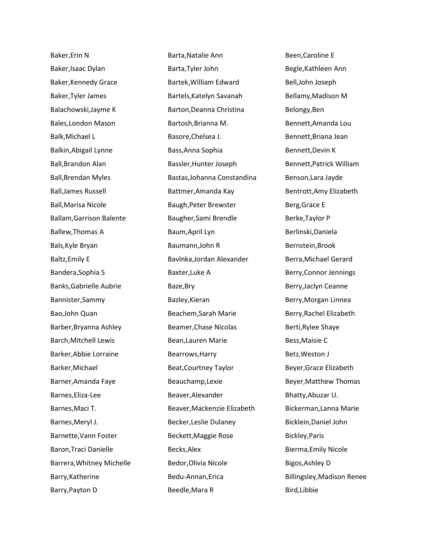Baker,Erin N Baker,Isaac Dylan Baker,Kennedy Grace Baker,Tyler James Balachowski,Jayme K Bales,London Mason Balk,Michael L Balkin,Abigail Lynne Ball,Brandon Alan Ball,Brendan Myles Ball,James Russell Ball,Marisa Nicole Ballam,Garrison Balente Ballew,Thomas A Bals,Kyle Bryan Baltz,Emily E Bandera,Sophia S Banks,Gabrielle Aubrie Bannister,Sammy Bao,John Quan Barber,Bryanna Ashley Barch,Mitchell Lewis Barker,Abbie Lorraine Barker,Michael Barner,Amanda Faye Barnes,Eliza-Lee Barnes,Maci T. Barnes,Meryl J. Barnette,Vann Foster Baron,Traci Danielle Barrera,Whitney Michelle Barry,Katherine Barry,Payton D

Barta,Natalie Ann Barta,Tyler John Bartek,William Edward Bartels,Katelyn Savanah Barton,Deanna Christina Bartosh,Brianna M. Basore,Chelsea J. Bass,Anna Sophia Bassler,Hunter Joseph Bastas,Johanna Constandina Battmer,Amanda Kay Baugh,Peter Brewster Baugher,Sami Brendle Baum,April Lyn Baumann,John R Bavlnka,Jordan Alexander Baxter,Luke A Baze,Bry Bazley,Kieran Beachem,Sarah Marie Beamer,Chase Nicolas Bean,Lauren Marie Bearrows,Harry Beat,Courtney Taylor Beauchamp,Lexie Beaver,Alexander Beaver,Mackenzie Elizabeth Becker,Leslie Dulaney Beckett,Maggie Rose Becks,Alex Bedor,Olivia Nicole Bedu-Annan,Erica Beedle,Mara R

Been,Caroline E Begle,Kathleen Ann Bell,John Joseph Bellamy,Madison M Belongy,Ben Bennett,Amanda Lou Bennett,Briana Jean Bennett,Devin K Bennett,Patrick William Benson,Lara Jayde Bentrott,Amy Elizabeth Berg,Grace E Berke,Taylor P Berlinski,Daniela Bernstein,Brook Berra,Michael Gerard Berry,Connor Jennings Berry,Jaclyn Ceanne Berry,Morgan Linnea Berry,Rachel Elizabeth Berti,Rylee Shaye Bess,Maisie C Betz,Weston J Beyer,Grace Elizabeth Beyer,Matthew Thomas Bhatty,Abuzar U. Bickerman,Lanna Marie Bicklein,Daniel John Bickley,Paris Bierma,Emily Nicole Bigos,Ashley D Billingsley,Madison Renee Bird,Libbie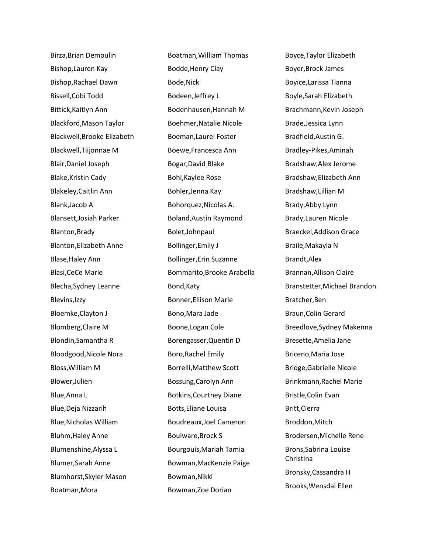Birza,Brian Demoulin Bishop,Lauren Kay Bishop,Rachael Dawn Bissell,Cobi Todd Bittick,Kaitlyn Ann Blackford,Mason Taylor Blackwell,Brooke Elizabeth Blackwell,Tiijonnae M Blair,Daniel Joseph Blake,Kristin Cady Blakeley,Caitlin Ann Blank,Jacob A Blansett,Josiah Parker Blanton,Brady Blanton,Elizabeth Anne Blase,Haley Ann Blasi,CeCe Marie Blecha,Sydney Leanne Blevins,Izzy Bloemke,Clayton J Blomberg,Claire M Blondin,Samantha R Bloodgood,Nicole Nora Bloss,William M Blower,Julien Blue,Anna L Blue,Deja Nizzarih Blue,Nicholas William Bluhm,Haley Anne Blumenshine,Alyssa L Blumer,Sarah Anne Blumhorst,Skyler Mason Boatman,Mora

Boatman,William Thomas Bodde,Henry Clay Bode,Nick Bodeen,Jeffrey L Bodenhausen,Hannah M Boehmer,Natalie Nicole Boeman,Laurel Foster Boewe,Francesca Ann Bogar,David Blake Bohl,Kaylee Rose Bohler,Jenna Kay Bohorquez,Nicolas A. Boland,Austin Raymond Bolet,Johnpaul Bollinger,Emily J Bollinger,Erin Suzanne Bommarito,Brooke Arabella Bond,Katy Bonner,Ellison Marie Bono,Mara Jade Boone,Logan Cole Borengasser,Quentin D Boro,Rachel Emily Borrelli,Matthew Scott Bossung,Carolyn Ann Botkins,Courtney Diane Botts,Eliane Louisa Boudreaux,Joel Cameron Boulware,Brock S Bourgouis,Mariah Tamia Bowman,MacKenzie Paige Bowman,Nikki Bowman,Zoe Dorian

Boyce,Taylor Elizabeth Boyer,Brock James Boyice,Larissa Tianna Boyle,Sarah Elizabeth Brachmann,Kevin Joseph Brade,Jessica Lynn Bradfield,Austin G. Bradley-Pikes,Aminah Bradshaw,Alex Jerome Bradshaw,Elizabeth Ann Bradshaw,Lillian M Brady,Abby Lynn Brady,Lauren Nicole Braeckel,Addison Grace Braile,Makayla N Brandt,Alex Brannan,Allison Claire Branstetter,Michael Brandon Bratcher,Ben Braun,Colin Gerard Breedlove,Sydney Makenna Bresette,Amelia Jane Briceno,Maria Jose Bridge,Gabrielle Nicole Brinkmann,Rachel Marie Bristle,Colin Evan Britt,Cierra Broddon,Mitch Brodersen,Michelle Rene Brons,Sabrina Louise Christina Bronsky,Cassandra H Brooks,Wensdai Ellen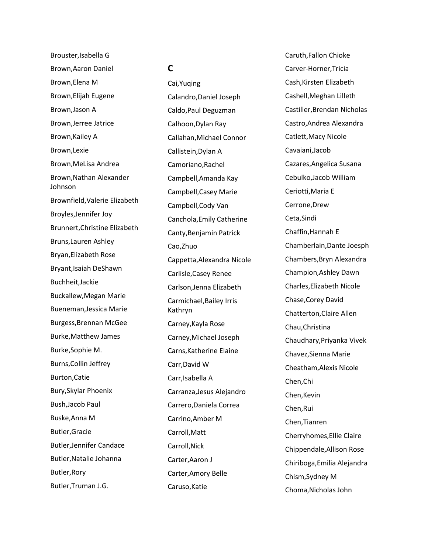Brouster,Isabella G Brown,Aaron Daniel Brown,Elena M Brown,Elijah Eugene Brown,Jason A Brown,Jerree Jatrice Brown,Kailey A Brown,Lexie Brown,MeLisa Andrea Brown,Nathan Alexander Johnson Brownfield,Valerie Elizabeth Broyles,Jennifer Joy Brunnert,Christine Elizabeth Bruns,Lauren Ashley Bryan,Elizabeth Rose Bryant,Isaiah DeShawn Buchheit,Jackie Buckallew,Megan Marie Bueneman,Jessica Marie Burgess,Brennan McGee Burke,Matthew James Burke,Sophie M. Burns,Collin Jeffrey Burton,Catie Bury,Skylar Phoenix Bush,Jacob Paul Buske,Anna M Butler,Gracie Butler,Jennifer Candace Butler,Natalie Johanna Butler,Rory Butler,Truman J.G.

## **C**

Cai,Yuqing Calandro,Daniel Joseph Caldo,Paul Deguzman Calhoon,Dylan Ray Callahan,Michael Connor Callistein,Dylan A Camoriano,Rachel Campbell,Amanda Kay Campbell,Casey Marie Campbell,Cody Van Canchola,Emily Catherine Canty,Benjamin Patrick Cao,Zhuo Cappetta,Alexandra Nicole Carlisle,Casey Renee Carlson,Jenna Elizabeth Carmichael,Bailey Irris Kathryn Carney,Kayla Rose Carney,Michael Joseph Carns,Katherine Elaine Carr,David W Carr,Isabella A Carranza,Jesus Alejandro Carrero,Daniela Correa Carrino,Amber M Carroll,Matt Carroll,Nick Carter,Aaron J Carter,Amory Belle Caruso,Katie

Caruth,Fallon Chioke Carver-Horner,Tricia Cash,Kirsten Elizabeth Cashell,Meghan Lilleth Castiller,Brendan Nicholas Castro,Andrea Alexandra Catlett,Macy Nicole Cavaiani,Jacob Cazares,Angelica Susana Cebulko,Jacob William Ceriotti,Maria E Cerrone,Drew Ceta,Sindi Chaffin,Hannah E Chamberlain,Dante Joesph Chambers,Bryn Alexandra Champion,Ashley Dawn Charles,Elizabeth Nicole Chase,Corey David Chatterton,Claire Allen Chau,Christina Chaudhary,Priyanka Vivek Chavez,Sienna Marie Cheatham,Alexis Nicole Chen,Chi Chen,Kevin Chen,Rui Chen,Tianren Cherryhomes,Ellie Claire Chippendale,Allison Rose Chiriboga,Emilia Alejandra Chism,Sydney M Choma,Nicholas John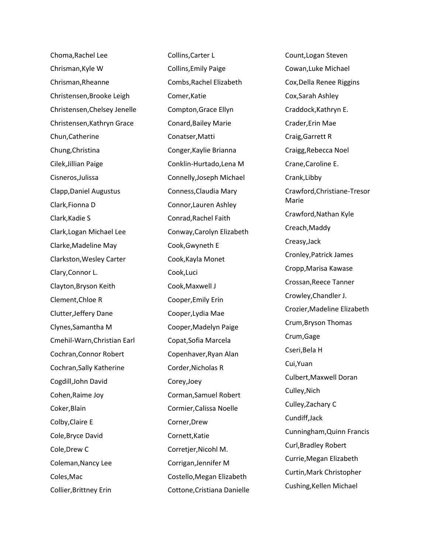Choma,Rachel Lee Chrisman,Kyle W Chrisman,Rheanne Christensen,Brooke Leigh Christensen,Chelsey Jenelle Christensen,Kathryn Grace Chun,Catherine Chung,Christina Cilek,Jillian Paige Cisneros,Julissa Clapp,Daniel Augustus Clark,Fionna D Clark,Kadie S Clark,Logan Michael Lee Clarke,Madeline May Clarkston,Wesley Carter Clary,Connor L. Clayton,Bryson Keith Clement,Chloe R Clutter,Jeffery Dane Clynes,Samantha M Cmehil-Warn,Christian Earl Cochran,Connor Robert Cochran,Sally Katherine Cogdill,John David Cohen,Raime Joy Coker,Blain Colby,Claire E Cole,Bryce David Cole,Drew C Coleman,Nancy Lee Coles,Mac Collier,Brittney Erin

Collins,Carter L Collins,Emily Paige Combs,Rachel Elizabeth Comer,Katie Compton,Grace Ellyn Conard,Bailey Marie Conatser,Matti Conger,Kaylie Brianna Conklin-Hurtado,Lena M Connelly,Joseph Michael Conness,Claudia Mary Connor,Lauren Ashley Conrad,Rachel Faith Conway,Carolyn Elizabeth Cook,Gwyneth E Cook,Kayla Monet Cook,Luci Cook,Maxwell J Cooper,Emily Erin Cooper,Lydia Mae Cooper,Madelyn Paige Copat,Sofia Marcela Copenhaver,Ryan Alan Corder,Nicholas R Corey,Joey Corman,Samuel Robert Cormier,Calissa Noelle Corner,Drew Cornett,Katie Corretjer,Nicohl M. Corrigan,Jennifer M Costello,Megan Elizabeth Cottone,Cristiana Danielle

Count,Logan Steven Cowan,Luke Michael Cox,Della Renee Riggins Cox,Sarah Ashley Craddock,Kathryn E. Crader,Erin Mae Craig,Garrett R Craigg,Rebecca Noel Crane,Caroline E. Crank,Libby Crawford,Christiane-Tresor Marie Crawford,Nathan Kyle Creach,Maddy Creasy,Jack Cronley,Patrick James Cropp,Marisa Kawase Crossan,Reece Tanner Crowley,Chandler J. Crozier,Madeline Elizabeth Crum,Bryson Thomas Crum,Gage Cseri,Bela H Cui,Yuan Culbert,Maxwell Doran Culley,Nich Culley,Zachary C Cundiff,Jack Cunningham,Quinn Francis Curl,Bradley Robert Currie,Megan Elizabeth Curtin,Mark Christopher Cushing,Kellen Michael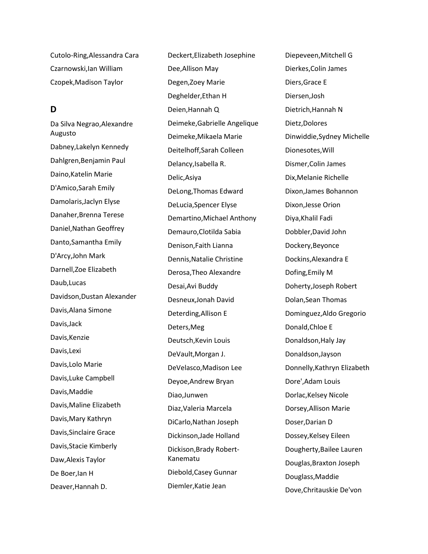Cutolo-Ring,Alessandra Cara Czarnowski,Ian William Czopek,Madison Taylor

## **D**

Da Silva Negrao,Alexandre Augusto Dabney,Lakelyn Kennedy Dahlgren,Benjamin Paul Daino,Katelin Marie D'Amico,Sarah Emily Damolaris,Jaclyn Elyse Danaher,Brenna Terese Daniel,Nathan Geoffrey Danto,Samantha Emily D'Arcy,John Mark Darnell,Zoe Elizabeth Daub,Lucas Davidson,Dustan Alexander Davis,Alana Simone Davis,Jack Davis,Kenzie Davis,Lexi Davis,Lolo Marie Davis,Luke Campbell Davis,Maddie Davis,Maline Elizabeth Davis,Mary Kathryn Davis,Sinclaire Grace Davis,Stacie Kimberly Daw,Alexis Taylor De Boer,Ian H Deaver,Hannah D.

Deckert,Elizabeth Josephine Dee,Allison May Degen,Zoey Marie Deghelder,Ethan H Deien,Hannah Q Deimeke,Gabrielle Angelique Deimeke,Mikaela Marie Deitelhoff,Sarah Colleen Delancy,Isabella R. Delic,Asiya DeLong,Thomas Edward DeLucia,Spencer Elyse Demartino,Michael Anthony Demauro,Clotilda Sabia Denison,Faith Lianna Dennis,Natalie Christine Derosa,Theo Alexandre Desai,Avi Buddy Desneux,Jonah David Deterding,Allison E Deters,Meg Deutsch,Kevin Louis DeVault,Morgan J. DeVelasco,Madison Lee Deyoe,Andrew Bryan Diao,Junwen Diaz,Valeria Marcela DiCarlo,Nathan Joseph Dickinson,Jade Holland Dickison,Brady Robert-Kanematu Diebold,Casey Gunnar Diemler,Katie Jean

Diepeveen,Mitchell G Dierkes,Colin James Diers,Grace E Diersen,Josh Dietrich,Hannah N Dietz,Dolores Dinwiddie,Sydney Michelle Dionesotes,Will Dismer,Colin James Dix,Melanie Richelle Dixon,James Bohannon Dixon,Jesse Orion Diya,Khalil Fadi Dobbler,David John Dockery,Beyonce Dockins,Alexandra E Dofing,Emily M Doherty,Joseph Robert Dolan,Sean Thomas Dominguez,Aldo Gregorio Donald,Chloe E Donaldson,Haly Jay Donaldson,Jayson Donnelly,Kathryn Elizabeth Dore',Adam Louis Dorlac,Kelsey Nicole Dorsey,Allison Marie Doser,Darian D Dossey,Kelsey Eileen Dougherty,Bailee Lauren Douglas,Braxton Joseph Douglass,Maddie Dove,Chritauskie De'von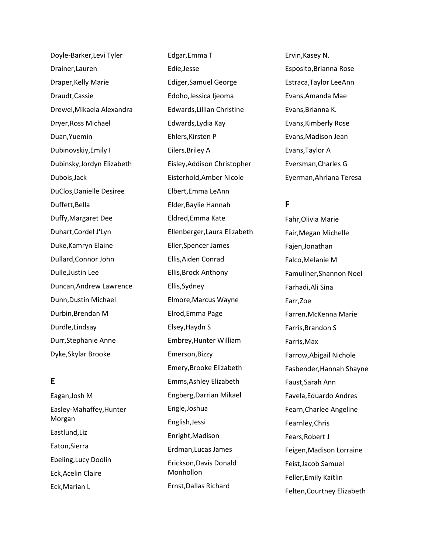Doyle-Barker,Levi Tyler Drainer,Lauren Draper,Kelly Marie Draudt,Cassie Drewel,Mikaela Alexandra Dryer,Ross Michael Duan,Yuemin Dubinovskiy,Emily I Dubinsky,Jordyn Elizabeth Dubois,Jack DuClos,Danielle Desiree Duffett,Bella Duffy,Margaret Dee Duhart,Cordel J'Lyn Duke,Kamryn Elaine Dullard,Connor John Dulle,Justin Lee Duncan,Andrew Lawrence Dunn,Dustin Michael Durbin,Brendan M Durdle,Lindsay Durr,Stephanie Anne Dyke,Skylar Brooke

# **E**

Eagan,Josh M Easley-Mahaffey,Hunter Morgan Eastlund,Liz Eaton,Sierra Ebeling,Lucy Doolin Eck,Acelin Claire Eck,Marian L

Edgar,Emma T Edie,Jesse Ediger,Samuel George Edoho,Jessica Ijeoma Edwards,Lillian Christine Edwards,Lydia Kay Ehlers,Kirsten P Eilers,Briley A Eisley,Addison Christopher Eisterhold,Amber Nicole Elbert,Emma LeAnn Elder,Baylie Hannah Eldred,Emma Kate Ellenberger,Laura Elizabeth Eller,Spencer James Ellis,Aiden Conrad Ellis,Brock Anthony Ellis,Sydney Elmore,Marcus Wayne Elrod,Emma Page Elsey,Haydn S Embrey,Hunter William Emerson,Bizzy Emery,Brooke Elizabeth Emms,Ashley Elizabeth Engberg,Darrian Mikael Engle,Joshua English,Jessi Enright,Madison Erdman,Lucas James Erickson,Davis Donald Monhollon Ernst,Dallas Richard

Ervin,Kasey N. Esposito,Brianna Rose Estraca,Taylor LeeAnn Evans,Amanda Mae Evans,Brianna K. Evans,Kimberly Rose Evans,Madison Jean Evans,Taylor A Eversman,Charles G Eyerman,Ahriana Teresa

# **F**

Fahr,Olivia Marie Fair,Megan Michelle Fajen,Jonathan Falco,Melanie M Famuliner,Shannon Noel Farhadi,Ali Sina Farr,Zoe Farren,McKenna Marie Farris,Brandon S Farris,Max Farrow,Abigail Nichole Fasbender,Hannah Shayne Faust,Sarah Ann Favela,Eduardo Andres Fearn,Charlee Angeline Fearnley,Chris Fears,Robert J Feigen,Madison Lorraine Feist,Jacob Samuel Feller,Emily Kaitlin Felten,Courtney Elizabeth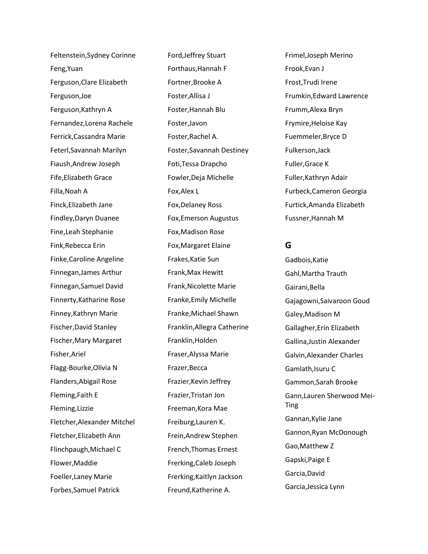Feltenstein,Sydney Corinne Feng,Yuan Ferguson,Clare Elizabeth Ferguson,Joe Ferguson,Kathryn A Fernandez,Lorena Rachele Ferrick,Cassandra Marie Feterl,Savannah Marilyn Fiaush,Andrew Joseph Fife,Elizabeth Grace Filla,Noah A Finck,Elizabeth Jane Findley,Daryn Duanee Fine,Leah Stephanie Fink,Rebecca Erin Finke,Caroline Angeline Finnegan,James Arthur Finnegan,Samuel David Finnerty,Katharine Rose Finney,Kathryn Marie Fischer,David Stanley Fischer,Mary Margaret Fisher,Ariel Flagg-Bourke,Olivia N Flanders,Abigail Rose Fleming,Faith E Fleming,Lizzie Fletcher,Alexander Mitchel Fletcher,Elizabeth Ann Flinchpaugh,Michael C Flower,Maddie Foeller,Laney Marie Forbes,Samuel Patrick

Ford,Jeffrey Stuart Forthaus,Hannah F Fortner,Brooke A Foster,Allisa J Foster,Hannah Blu Foster,Javon Foster,Rachel A. Foster,Savannah Destiney Foti,Tessa Drapcho Fowler,Deja Michelle Fox,Alex L Fox,Delaney Ross Fox,Emerson Augustus Fox,Madison Rose Fox,Margaret Elaine Frakes,Katie Sun Frank,Max Hewitt Frank,Nicolette Marie Franke,Emily Michelle Franke,Michael Shawn Franklin,Allegra Catherine Franklin,Holden Fraser,Alyssa Marie Frazer,Becca Frazier,Kevin Jeffrey Frazier,Tristan Jon Freeman,Kora Mae Freiburg,Lauren K. Frein,Andrew Stephen French,Thomas Ernest Frerking,Caleb Joseph Frerking,Kaitlyn Jackson Freund,Katherine A.

Frimel,Joseph Merino Frook,Evan J Frost,Trudi Irene Frumkin,Edward Lawrence Frumm,Alexa Bryn Frymire,Heloise Kay Fuemmeler,Bryce D Fulkerson,Jack Fuller,Grace K Fuller,Kathryn Adair Furbeck,Cameron Georgia Furtick,Amanda Elizabeth Fussner,Hannah M

# **G**

Gadbois,Katie Gahl,Martha Trauth Gairani,Bella Gajagowni,Saivaroon Goud Galey,Madison M Gallagher,Erin Elizabeth Gallina,Justin Alexander Galvin,Alexander Charles Gamlath,Isuru C Gammon,Sarah Brooke Gann,Lauren Sherwood Mei-Ting Gannan,Kylie Jane Gannon,Ryan McDonough Gao,Matthew Z Gapski,Paige E Garcia,David Garcia,Jessica Lynn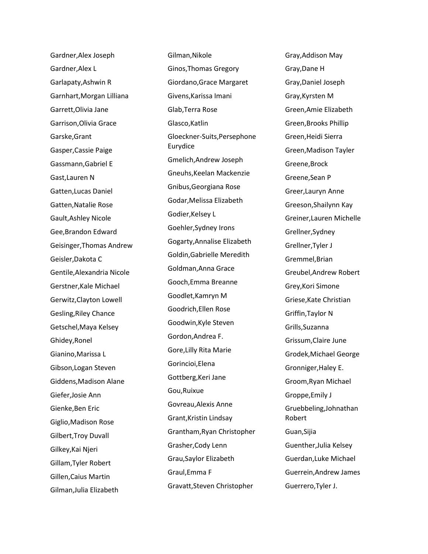Gardner,Alex Joseph Gardner,Alex L Garlapaty,Ashwin R Garnhart,Morgan Lilliana Garrett,Olivia Jane Garrison,Olivia Grace Garske,Grant Gasper,Cassie Paige Gassmann,Gabriel E Gast,Lauren N Gatten,Lucas Daniel Gatten,Natalie Rose Gault,Ashley Nicole Gee,Brandon Edward Geisinger,Thomas Andrew Geisler,Dakota C Gentile,Alexandria Nicole Gerstner,Kale Michael Gerwitz,Clayton Lowell Gesling,Riley Chance Getschel,Maya Kelsey Ghidey,Ronel Gianino,Marissa L Gibson,Logan Steven Giddens,Madison Alane Giefer,Josie Ann Gienke,Ben Eric Giglio,Madison Rose Gilbert,Troy Duvall Gilkey,Kai Njeri Gillam,Tyler Robert Gillen,Caius Martin Gilman,Julia Elizabeth

Gilman,Nikole Ginos,Thomas Gregory Giordano,Grace Margaret Givens,Karissa Imani Glab,Terra Rose Glasco,Katlin Gloeckner-Suits,Persephone Eurydice Gmelich,Andrew Joseph Gneuhs,Keelan Mackenzie Gnibus,Georgiana Rose Godar,Melissa Elizabeth Godier,Kelsey L Goehler,Sydney Irons Gogarty,Annalise Elizabeth Goldin,Gabrielle Meredith Goldman,Anna Grace Gooch,Emma Breanne Goodlet,Kamryn M Goodrich,Ellen Rose Goodwin,Kyle Steven Gordon,Andrea F. Gore,Lilly Rita Marie Gorincioi,Elena Gottberg,Keri Jane Gou,Ruixue Govreau,Alexis Anne Grant,Kristin Lindsay Grantham,Ryan Christopher Grasher,Cody Lenn Grau,Saylor Elizabeth Graul,Emma F Gravatt,Steven Christopher

Gray,Addison May Gray,Dane H Gray,Daniel Joseph Gray,Kyrsten M Green,Amie Elizabeth Green,Brooks Phillip Green,Heidi Sierra Green,Madison Tayler Greene,Brock Greene,Sean P Greer,Lauryn Anne Greeson,Shailynn Kay Greiner,Lauren Michelle Grellner,Sydney Grellner,Tyler J Gremmel,Brian Greubel,Andrew Robert Grey,Kori Simone Griese,Kate Christian Griffin,Taylor N Grills,Suzanna Grissum,Claire June Grodek,Michael George Gronniger,Haley E. Groom,Ryan Michael Groppe,Emily J Gruebbeling,Johnathan Robert Guan,Sijia Guenther,Julia Kelsey Guerdan,Luke Michael Guerrein,Andrew James Guerrero,Tyler J.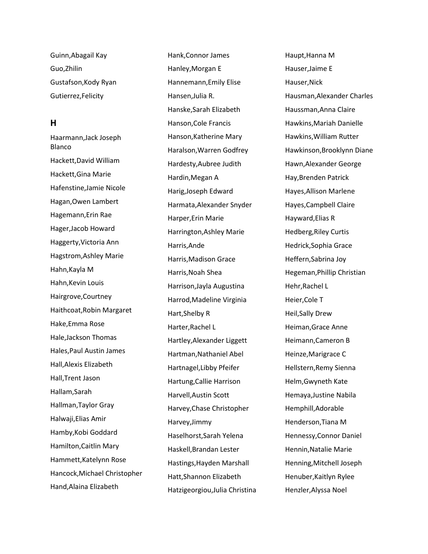Guinn,Abagail Kay Guo,Zhilin Gustafson,Kody Ryan Gutierrez,Felicity

## **H**

Haarmann,Jack Joseph Blanco Hackett,David William Hackett,Gina Marie Hafenstine,Jamie Nicole Hagan,Owen Lambert Hagemann,Erin Rae Hager,Jacob Howard Haggerty,Victoria Ann Hagstrom,Ashley Marie Hahn,Kayla M Hahn,Kevin Louis Hairgrove,Courtney Haithcoat,Robin Margaret Hake,Emma Rose Hale,Jackson Thomas Hales,Paul Austin James Hall,Alexis Elizabeth Hall,Trent Jason Hallam,Sarah Hallman,Taylor Gray Halwaji,Elias Amir Hamby,Kobi Goddard Hamilton,Caitlin Mary Hammett,Katelynn Rose Hancock,Michael Christopher Hand,Alaina Elizabeth

Hank,Connor James Hanley,Morgan E Hannemann,Emily Elise Hansen,Julia R. Hanske,Sarah Elizabeth Hanson,Cole Francis Hanson,Katherine Mary Haralson,Warren Godfrey Hardesty,Aubree Judith Hardin,Megan A Harig,Joseph Edward Harmata,Alexander Snyder Harper,Erin Marie Harrington,Ashley Marie Harris,Ande Harris,Madison Grace Harris,Noah Shea Harrison,Jayla Augustina Harrod,Madeline Virginia Hart,Shelby R Harter,Rachel L Hartley,Alexander Liggett Hartman,Nathaniel Abel Hartnagel,Libby Pfeifer Hartung,Callie Harrison Harvell,Austin Scott Harvey,Chase Christopher Harvey,Jimmy Haselhorst,Sarah Yelena Haskell,Brandan Lester Hastings,Hayden Marshall Hatt,Shannon Elizabeth Hatzigeorgiou,Julia Christina Haupt,Hanna M Hauser,Jaime E Hauser,Nick Hausman,Alexander Charles Haussman,Anna Claire Hawkins,Mariah Danielle Hawkins,William Rutter Hawkinson,Brooklynn Diane Hawn,Alexander George Hay,Brenden Patrick Hayes,Allison Marlene Hayes,Campbell Claire Hayward,Elias R Hedberg,Riley Curtis Hedrick,Sophia Grace Heffern,Sabrina Joy Hegeman,Phillip Christian Hehr,Rachel L Heier,Cole T Heil,Sally Drew Heiman,Grace Anne Heimann,Cameron B Heinze,Marigrace C Hellstern,Remy Sienna Helm,Gwyneth Kate Hemaya,Justine Nabila Hemphill,Adorable Henderson,Tiana M Hennessy,Connor Daniel Hennin,Natalie Marie Henning,Mitchell Joseph Henuber,Kaitlyn Rylee Henzler,Alyssa Noel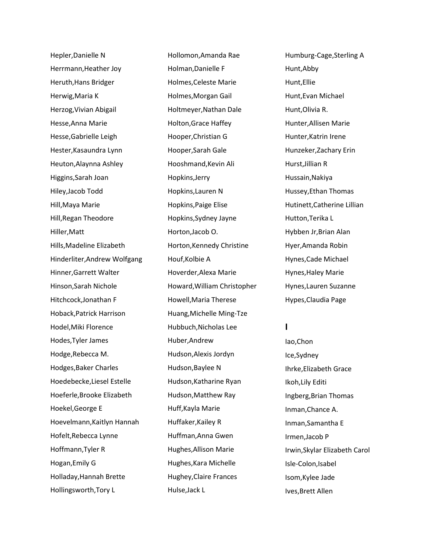Hepler,Danielle N Herrmann, Heather Joy Heruth,Hans Bridger Herwig,Maria K Herzog,Vivian Abigail Hesse,Anna Marie Hesse,Gabrielle Leigh Hester,Kasaundra Lynn Heuton,Alaynna Ashley Higgins,Sarah Joan Hiley,Jacob Todd Hill,Maya Marie Hill,Regan Theodore Hiller,Matt Hills,Madeline Elizabeth Hinderliter,Andrew Wolfgang Hinner,Garrett Walter Hinson,Sarah Nichole Hitchcock,Jonathan F Hoback,Patrick Harrison Hodel,Miki Florence Hodes,Tyler James Hodge,Rebecca M. Hodges,Baker Charles Hoedebecke,Liesel Estelle Hoeferle,Brooke Elizabeth Hoekel,George E Hoevelmann,Kaitlyn Hannah Hofelt,Rebecca Lynne Hoffmann,Tyler R Hogan,Emily G Holladay,Hannah Brette Hollingsworth,Tory L

Hollomon,Amanda Rae Holman,Danielle F Holmes,Celeste Marie Holmes,Morgan Gail Holtmeyer,Nathan Dale Holton,Grace Haffey Hooper,Christian G Hooper,Sarah Gale Hooshmand,Kevin Ali Hopkins,Jerry Hopkins,Lauren N Hopkins,Paige Elise Hopkins,Sydney Jayne Horton,Jacob O. Horton,Kennedy Christine Houf,Kolbie A Hoverder,Alexa Marie Howard,William Christopher Howell,Maria Therese Huang,Michelle Ming-Tze Hubbuch,Nicholas Lee Huber,Andrew Hudson,Alexis Jordyn Hudson,Baylee N Hudson,Katharine Ryan Hudson,Matthew Ray Huff,Kayla Marie Huffaker,Kailey R Huffman,Anna Gwen Hughes,Allison Marie Hughes,Kara Michelle Hughey,Claire Frances Hulse,Jack L

Humburg-Cage,Sterling A Hunt,Abby Hunt,Ellie Hunt,Evan Michael Hunt,Olivia R. Hunter,Allisen Marie Hunter,Katrin Irene Hunzeker,Zachary Erin Hurst,Jillian R Hussain,Nakiya Hussey,Ethan Thomas Hutinett,Catherine Lillian Hutton,Terika L Hybben Jr,Brian Alan Hyer,Amanda Robin Hynes,Cade Michael Hynes,Haley Marie Hynes,Lauren Suzanne Hypes,Claudia Page

## **I**

Iao,Chon Ice,Sydney Ihrke,Elizabeth Grace Ikoh,Lily Editi Ingberg,Brian Thomas Inman,Chance A. Inman,Samantha E Irmen,Jacob P Irwin,Skylar Elizabeth Carol Isle-Colon,Isabel Isom,Kylee Jade Ives,Brett Allen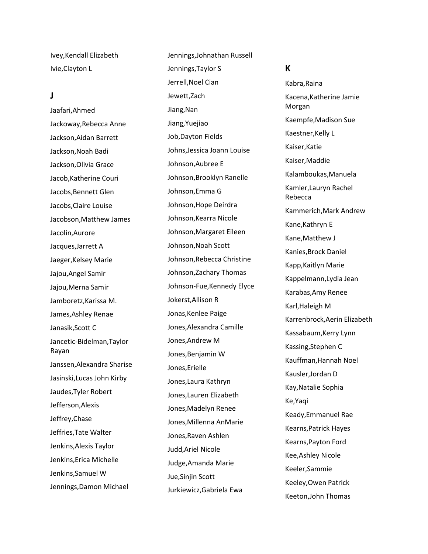Ivey,Kendall Elizabeth Ivie,Clayton L

## **J**

Jaafari,Ahmed Jackoway,Rebecca Anne Jackson,Aidan Barrett Jackson,Noah Badi Jackson,Olivia Grace Jacob,Katherine Couri Jacobs,Bennett Glen Jacobs,Claire Louise Jacobson,Matthew James Jacolin,Aurore Jacques,Jarrett A Jaeger,Kelsey Marie Jajou,Angel Samir Jajou,Merna Samir Jamboretz,Karissa M. James,Ashley Renae Janasik,Scott C Jancetic -Bidelman,Taylor Rayan Janssen,Alexandra Sharise Jasinski,Lucas John Kirby Jaudes,Tyler Robert Jefferson,Alexis Jeffrey,Chase Jeffries,Tate Walter Jenkins,Alexis Taylor Jenkins,Erica Michelle Jenkins,Samuel W Jennings,Damon Michael

Jennings,Johnathan Russell Jennings,Taylor S Jerrell,Noel Cian Jewett,Zach Jiang,Nan Jiang,Yuejiao Job,Dayton Fields Johns,Jessica Joann Louise Johnson,Aubree E Johnson,Brooklyn Ranelle Johnson,Emma G Johnson,Hope Deirdra Johnson,Kearra Nicole Johnson,Margaret Eileen Johnson,Noah Scott Johnson,Rebecca Christine Johnson,Zachary Thomas Johnson -Fue,Kennedy Elyce Jokerst,Allison R Jonas,Kenlee Paige Jones,Alexandra Camille Jones,Andrew M Jones,Benjamin W Jones,Erielle Jones,Laura Kathryn Jones,Lauren Elizabeth Jones,Madelyn Renee Jones,Millenna AnMarie Jones,Raven Ashlen Judd,Ariel Nicole Judge,Amanda Marie Jue,Sinjin Scott Jurkiewicz,Gabriela Ewa

### **K**

Kabra,Raina Kacena,Katherine Jamie Morgan Kaempfe,Madison Sue Kaestner,Kelly L Kaiser,Katie Kaiser,Maddie Kalamboukas,Manuela Kamler,Lauryn Rachel Rebecca Kammerich,Mark Andrew Kane,Kathryn E Kane,Matthew J Kanies,Brock Daniel Kapp,Kaitlyn Marie Kappelmann,Lydia Jean Karabas,Amy Renee Karl,Haleigh M Karrenbrock,Aerin Elizabeth Kassabaum,Kerry Lynn Kassing,Stephen C Kauffman,Hannah Noel Kausler,Jordan D Kay,Natalie Sophia Ke,Yaqi Keady,Emmanuel Rae Kearns,Patrick Hayes Kearns,Payton Ford Kee,Ashley Nicole Keeler,Sammie Keeley,Owen Patrick Keeton,John Thomas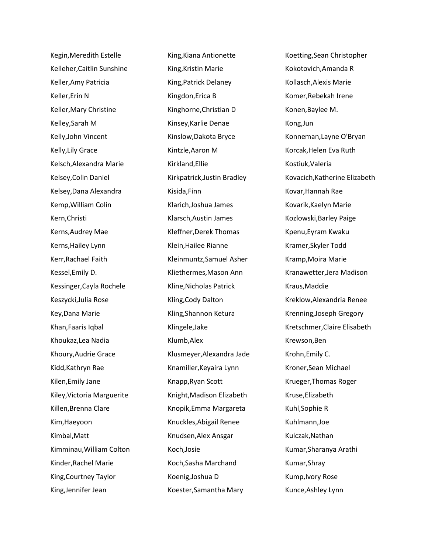Kegin,Meredith Estelle Kelleher,Caitlin Sunshine Keller,Amy Patricia Keller,Erin N Keller,Mary Christine Kelley,Sarah M Kelly,John Vincent Kelly,Lily Grace Kelsch,Alexandra Marie Kelsey,Colin Daniel Kelsey,Dana Alexandra Kemp,William Colin Kern,Christi Kerns,Audrey Mae Kerns,Hailey Lynn Kerr,Rachael Faith Kessel,Emily D. Kessinger,Cayla Rochele Keszycki,Julia Rose Key,Dana Marie Khan,Faaris Iqbal Khoukaz,Lea Nadia Khoury,Audrie Grace Kidd,Kathryn Rae Kilen,Emily Jane Kiley,Victoria Marguerite Killen,Brenna Clare Kim,Haeyoon Kimbal,Matt Kimminau,William Colton Kinder,Rachel Marie King,Courtney Taylor King,Jennifer Jean

King,Kiana Antionette King,Kristin Marie King,Patrick Delaney Kingdon,Erica B Kinghorne,Christian D Kinsey,Karlie Denae Kinslow,Dakota Bryce Kintzle,Aaron M Kirkland,Ellie Kirkpatrick,Justin Bradley Kisida,Finn Klarich,Joshua James Klarsch,Austin James Kleffner,Derek Thomas Klein,Hailee Rianne Kleinmuntz,Samuel Asher Kliethermes,Mason Ann Kline,Nicholas Patrick Kling,Cody Dalton Kling,Shannon Ketura Klingele,Jake Klumb,Alex Klusmeyer,Alexandra Jade Knamiller,Keyaira Lynn Knapp,Ryan Scott Knight,Madison Elizabeth Knopik,Emma Margareta Knuckles,Abigail Renee Knudsen,Alex Ansgar Koch,Josie Koch,Sasha Marchand Koenig,Joshua D Koester,Samantha Mary

Koetting,Sean Christopher Kokotovich,Amanda R Kollasch,Alexis Marie Komer,Rebekah Irene Konen,Baylee M. Kong,Jun Konneman,Layne O'Bryan Korcak,Helen Eva Ruth Kostiuk,Valeria Kovacich,Katherine Elizabeth Kovar,Hannah Rae Kovarik,Kaelyn Marie Kozlowski,Barley Paige Kpenu,Eyram Kwaku Kramer,Skyler Todd Kramp,Moira Marie Kranawetter,Jera Madison Kraus,Maddie Kreklow,Alexandria Renee Krenning,Joseph Gregory Kretschmer,Claire Elisabeth Krewson,Ben Krohn,Emily C. Kroner,Sean Michael Krueger,Thomas Roger Kruse,Elizabeth Kuhl,Sophie R Kuhlmann,Joe Kulczak,Nathan Kumar,Sharanya Arathi Kumar,Shray Kump,Ivory Rose Kunce,Ashley Lynn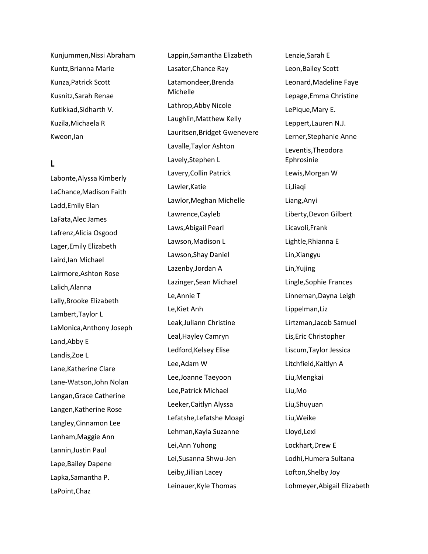Kunjummen,Nissi Abraham Kuntz,Brianna Marie Kunza,Patrick Scott Kusnitz,Sarah Renae Kutikkad,Sidharth V. Kuzila,Michaela R Kweon,Ian

### **L**

Labonte,Alyssa Kimberly LaChance,Madison Faith Ladd,Emily Elan LaFata,Alec James Lafrenz,Alicia Osgood Lager,Emily Elizabeth Laird,Ian Michael Lairmore,Ashton Rose Lalich,Alanna Lally,Brooke Elizabeth Lambert,Taylor L LaMonica,Anthony Joseph Land,Abby E Landis,Zoe L Lane,Katherine Clare Lane-Watson,John Nolan Langan,Grace Catherine Langen,Katherine Rose Langley,Cinnamon Lee Lanham,Maggie Ann Lannin,Justin Paul Lape,Bailey Dapene Lapka,Samantha P. LaPoint,Chaz

Lappin,Samantha Elizabeth Lasater,Chance Ray Latamondeer,Brenda Michelle Lathrop,Abby Nicole Laughlin,Matthew Kelly Lauritsen,Bridget Gwenevere Lavalle,Taylor Ashton Lavely,Stephen L Lavery,Collin Patrick Lawler,Katie Lawlor,Meghan Michelle Lawrence,Cayleb Laws,Abigail Pearl Lawson,Madison L Lawson,Shay Daniel Lazenby,Jordan A Lazinger,Sean Michael Le,Annie T Le,Kiet Anh Leak,Juliann Christine Leal,Hayley Camryn Ledford,Kelsey Elise Lee,Adam W Lee,Joanne Taeyoon Lee,Patrick Michael Leeker,Caitlyn Alyssa Lefatshe,Lefatshe Moagi Lehman,Kayla Suzanne Lei,Ann Yuhong Lei,Susanna Shwu-Jen Leiby,Jillian Lacey Leinauer,Kyle Thomas

Lenzie,Sarah E Leon,Bailey Scott Leonard,Madeline Faye Lepage,Emma Christine LePique,Mary E. Leppert,Lauren N.J. Lerner,Stephanie Anne Leventis,Theodora Ephrosinie Lewis,Morgan W Li,Jiaqi Liang,Anyi Liberty,Devon Gilbert Licavoli,Frank Lightle,Rhianna E Lin,Xiangyu Lin,Yujing Lingle,Sophie Frances Linneman,Dayna Leigh Lippelman,Liz Lirtzman,Jacob Samuel Lis,Eric Christopher Liscum,Taylor Jessica Litchfield,Kaitlyn A Liu,Mengkai Liu,Mo Liu,Shuyuan Liu,Weike Lloyd,Lexi Lockhart,Drew E Lodhi,Humera Sultana Lofton,Shelby Joy Lohmeyer,Abigail Elizabeth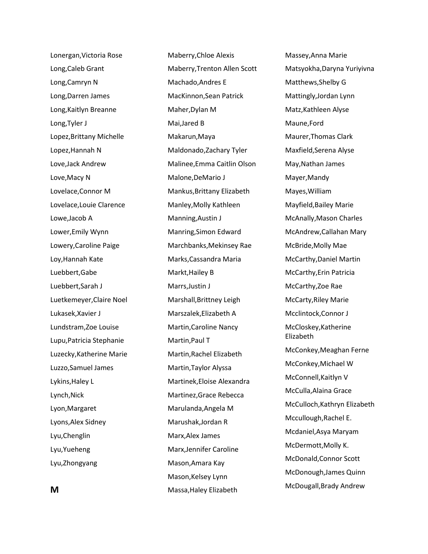Lonergan,Victoria Rose Long,Caleb Grant Long,Camryn N Long,Darren James Long,Kaitlyn Breanne Long,Tyler J Lopez,Brittany Michelle Lopez,Hannah N Love,Jack Andrew Love,Macy N Lovelace,Connor M Lovelace,Louie Clarence Lowe,Jacob A Lower,Emily Wynn Lowery,Caroline Paige Loy,Hannah Kate Luebbert,Gabe Luebbert,Sarah J Luetkemeyer,Claire Noel Lukasek,Xavier J Lundstram,Zoe Louise Lupu,Patricia Stephanie Luzecky,Katherine Marie Luzzo,Samuel James Lykins,Haley L Lynch,Nick Lyon,Margaret Lyons,Alex Sidney Lyu,Chenglin Lyu,Yueheng Lyu,Zhongyang

Maberry,Chloe Alexis Maberry,Trenton Allen Scott Machado,Andres E MacKinnon,Sean Patrick Maher,Dylan M Mai,Jared B Makarun,Maya Maldonado,Zachary Tyler Malinee,Emma Caitlin Olson Malone,DeMario J Mankus,Brittany Elizabeth Manley,Molly Kathleen Manning,Austin J Manring,Simon Edward Marchbanks,Mekinsey Rae Marks,Cassandra Maria Markt,Hailey B Marrs,Justin J Marshall,Brittney Leigh Marszalek,Elizabeth A Martin,Caroline Nancy Martin,Paul T Martin,Rachel Elizabeth Martin,Taylor Alyssa Martinek,Eloise Alexandra Martinez,Grace Rebecca Marulanda,Angela M Marushak,Jordan R Marx,Alex James Marx,Jennifer Caroline Mason,Amara Kay Mason,Kelsey Lynn Massa,Haley Elizabeth

Massey,Anna Marie Matsyokha,Daryna Yuriyivna Matthews,Shelby G Mattingly,Jordan Lynn Matz,Kathleen Alyse Maune,Ford Maurer,Thomas Clark Maxfield,Serena Alyse May,Nathan James Mayer,Mandy Mayes,William Mayfield,Bailey Marie McAnally,Mason Charles McAndrew,Callahan Mary McBride,Molly Mae McCarthy,Daniel Martin McCarthy,Erin Patricia McCarthy,Zoe Rae McCarty,Riley Marie Mcclintock,Connor J McCloskey,Katherine Elizabeth McConkey,Meaghan Ferne McConkey,Michael W McConnell,Kaitlyn V McCulla,Alaina Grace McCulloch,Kathryn Elizabeth Mccullough,Rachel E. Mcdaniel,Asya Maryam McDermott,Molly K. McDonald,Connor Scott McDonough,James Quinn McDougall,Brady Andrew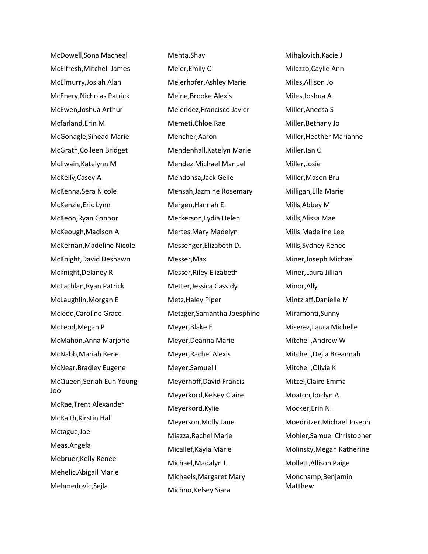McDowell,Sona Macheal McElfresh,Mitchell James McElmurry,Josiah Alan McEnery,Nicholas Patrick McEwen,Joshua Arthur Mcfarland,Erin M McGonagle,Sinead Marie McGrath,Colleen Bridget McIlwain,Katelynn M McKelly,Casey A McKenna,Sera Nicole McKenzie,Eric Lynn McKeon,Ryan Connor McKeough,Madison A McKernan,Madeline Nicole McKnight,David Deshawn Mcknight,Delaney R McLachlan,Ryan Patrick McLaughlin,Morgan E Mcleod,Caroline Grace McLeod,Megan P McMahon,Anna Marjorie McNabb,Mariah Rene McNear,Bradley Eugene McQueen,Seriah Eun Young Joo McRae,Trent Alexander McRaith,Kirstin Hall Mctague,Joe Meas,Angela Mebruer,Kelly Renee Mehelic,Abigail Marie Mehmedovic,Sejla

Mehta,Shay Meier,Emily C Meierhofer,Ashley Marie Meine,Brooke Alexis Melendez,Francisco Javier Memeti,Chloe Rae Mencher,Aaron Mendenhall,Katelyn Marie Mendez,Michael Manuel Mendonsa,Jack Geile Mensah,Jazmine Rosemary Mergen,Hannah E. Merkerson,Lydia Helen Mertes,Mary Madelyn Messenger,Elizabeth D. Messer,Max Messer,Riley Elizabeth Metter,Jessica Cassidy Metz,Haley Piper Metzger,Samantha Joesphine Meyer,Blake E Meyer,Deanna Marie Meyer,Rachel Alexis Meyer,Samuel I Meyerhoff,David Francis Meyerkord,Kelsey Claire Meyerkord,Kylie Meyerson,Molly Jane Miazza,Rachel Marie Micallef,Kayla Marie Michael,Madalyn L. Michaels,Margaret Mary Michno,Kelsey Siara

Mihalovich,Kacie J Milazzo,Caylie Ann Miles,Allison Jo Miles,Joshua A Miller,Aneesa S Miller,Bethany Jo Miller,Heather Marianne Miller,Ian C Miller,Josie Miller,Mason Bru Milligan,Ella Marie Mills,Abbey M Mills,Alissa Mae Mills,Madeline Lee Mills,Sydney Renee Miner,Joseph Michael Miner,Laura Jillian Minor,Ally Mintzlaff,Danielle M Miramonti,Sunny Miserez,Laura Michelle Mitchell,Andrew W Mitchell,Dejia Breannah Mitchell,Olivia K Mitzel,Claire Emma Moaton,Jordyn A. Mocker,Erin N. Moedritzer,Michael Joseph Mohler,Samuel Christopher Molinsky,Megan Katherine Mollett,Allison Paige Monchamp,Benjamin Matthew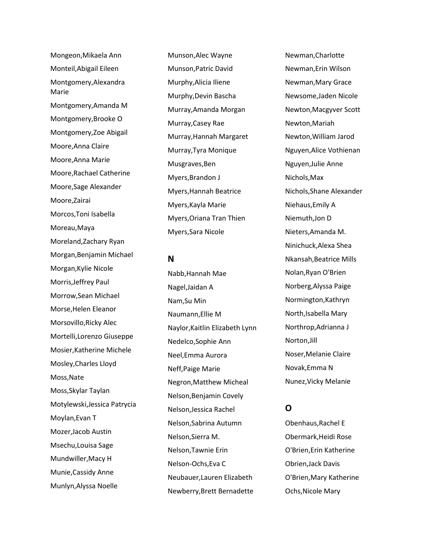Mongeon,Mikaela Ann Monteil,Abigail Eileen Montgomery,Alexandra Marie Montgomery,Amanda M Montgomery,Brooke O Montgomery,Zoe Abigail Moore,Anna Claire Moore,Anna Marie Moore,Rachael Catherine Moore,Sage Alexander Moore,Zairai Morcos,Toni Isabella Moreau,Maya Moreland,Zachary Ryan Morgan,Benjamin Michael Morgan,Kylie Nicole Morris,Jeffrey Paul Morrow,Sean Michael Morse,Helen Eleanor Morsovillo,Ricky Alec Mortelli,Lorenzo Giuseppe Mosier,Katherine Michele Mosley,Charles Lloyd Moss,Nate Moss,Skylar Taylan Motylewski,Jessica Patrycia Moylan,Evan T Mozer,Jacob Austin Msechu,Louisa Sage Mundwiller,Macy H Munie,Cassidy Anne Munlyn,Alyssa Noelle

Munson,Alec Wayne Munson,Patric David Murphy,Alicia Iliene Murphy,Devin Bascha Murray,Amanda Morgan Murray,Casey Rae Murray,Hannah Margaret Murray,Tyra Monique Musgraves,Ben Myers,Brandon J Myers,Hannah Beatrice Myers,Kayla Marie Myers,Oriana Tran Thien Myers,Sara Nicole

### **N**

Nabb,Hannah Mae Nagel,Jaidan A Nam,Su Min Naumann,Ellie M Naylor,Kaitlin Elizabeth Lynn Nedelco,Sophie Ann Neel,Emma Aurora Neff,Paige Marie Negron,Matthew Micheal Nelson,Benjamin Covely Nelson,Jessica Rachel Nelson,Sabrina Autumn Nelson,Sierra M. Nelson,Tawnie Erin Nelson-Ochs,Eva C Neubauer,Lauren Elizabeth Newberry,Brett Bernadette

Newman,Charlotte Newman,Erin Wilson Newman,Mary Grace Newsome,Jaden Nicole Newton,Macgyver Scott Newton,Mariah Newton,William Jarod Nguyen,Alice Vothienan Nguyen,Julie Anne Nichols,Max Nichols,Shane Alexander Niehaus,Emily A Niemuth,Jon D Nieters,Amanda M. Ninichuck,Alexa Shea Nkansah,Beatrice Mills Nolan,Ryan O'Brien Norberg,Alyssa Paige Normington,Kathryn North,Isabella Mary Northrop,Adrianna J Norton,Jill Noser,Melanie Claire Novak,Emma N Nunez,Vicky Melanie

# **O**

Obenhaus,Rachel E Obermark,Heidi Rose O'Brien,Erin Katherine Obrien,Jack Davis O'Brien,Mary Katherine Ochs,Nicole Mary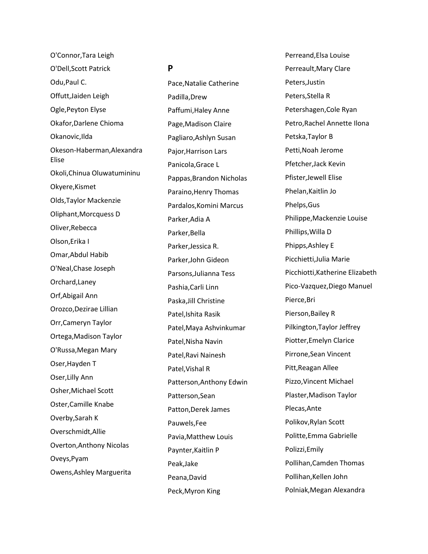O'Connor,Tara Leigh O'Dell,Scott Patrick Odu,Paul C. Offutt,Jaiden Leigh Ogle,Peyton Elyse Okafor,Darlene Chioma Okanovic,Ilda Okeson-Haberman,Alexandra Elise Okoli,Chinua Oluwatumininu Okyere,Kismet Olds,Taylor Mackenzie Oliphant,Morcquess D Oliver,Rebecca Olson,Erika I Omar,Abdul Habib O'Neal,Chase Joseph Orchard,Laney Orf,Abigail Ann Orozco,Dezirae Lillian Orr,Cameryn Taylor Ortega,Madison Taylor O'Russa,Megan Mary Oser,Hayden T Oser,Lilly Ann Osher,Michael Scott Oster,Camille Knabe Overby,Sarah K Overschmidt,Allie Overton,Anthony Nicolas Oveys,Pyam Owens,Ashley Marguerita

#### **P**

Pace,Natalie Catherine Padilla,Drew Paffumi,Haley Anne Page,Madison Claire Pagliaro,Ashlyn Susan Pajor,Harrison Lars Panicola,Grace L Pappas,Brandon Nicholas Paraino,Henry Thomas Pardalos,Komini Marcus Parker,Adia A Parker,Bella Parker,Jessica R. Parker,John Gideon Parsons,Julianna Tess Pashia,Carli Linn Paska,Jill Christine Patel,Ishita Rasik Patel,Maya Ashvinkumar Patel,Nisha Navin Patel,Ravi Nainesh Patel,Vishal R Patterson,Anthony Edwin Patterson,Sean Patton,Derek James Pauwels,Fee Pavia,Matthew Louis Paynter,Kaitlin P Peak,Jake Peana,David Peck,Myron King

Perreand,Elsa Louise Perreault,Mary Clare Peters,Justin Peters,Stella R Petershagen,Cole Ryan Petro,Rachel Annette Ilona Petska,Taylor B Petti,Noah Jerome Pfetcher,Jack Kevin Pfister,Jewell Elise Phelan,Kaitlin Jo Phelps,Gus Philippe,Mackenzie Louise Phillips,Willa D Phipps,Ashley E Picchietti,Julia Marie Picchiotti,Katherine Elizabeth Pico-Vazquez,Diego Manuel Pierce,Bri Pierson,Bailey R Pilkington,Taylor Jeffrey Piotter,Emelyn Clarice Pirrone,Sean Vincent Pitt,Reagan Allee Pizzo,Vincent Michael Plaster,Madison Taylor Plecas,Ante Polikov,Rylan Scott Politte,Emma Gabrielle Polizzi,Emily Pollihan,Camden Thomas Pollihan,Kellen John Polniak,Megan Alexandra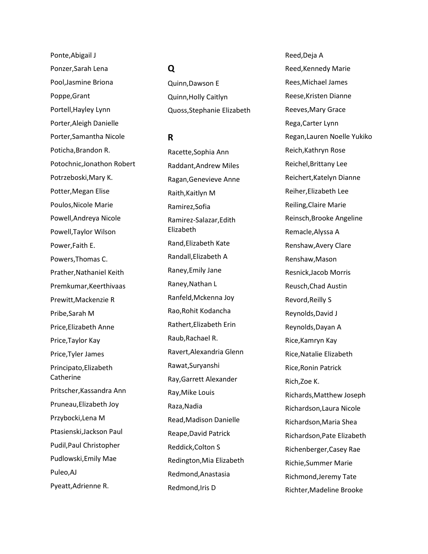Ponte,Abigail J Ponzer,Sarah Lena Pool,Jasmine Briona Poppe,Grant Portell,Hayley Lynn Porter,Aleigh Danielle Porter,Samantha Nicole Poticha,Brandon R. Potochnic,Jonathon Robert Potrzeboski,Mary K. Potter,Megan Elise Poulos,Nicole Marie Powell,Andreya Nicole Powell,Taylor Wilson Power,Faith E. Powers,Thomas C. Prather,Nathaniel Keith Premkumar,Keerthivaas Prewitt,Mackenzie R Pribe,Sarah M Price,Elizabeth Anne Price,Taylor Kay Price,Tyler James Principato,Elizabeth Catherine Pritscher,Kassandra Ann Pruneau,Elizabeth Joy Przybocki,Lena M Ptasienski,Jackson Paul Pudil,Paul Christopher Pudlowski,Emily Mae Puleo,AJ Pyeatt,Adrienne R.

# **Q**

Quinn,Dawson E Quinn,Holly Caitlyn Quoss,Stephanie Elizabeth

#### **R**

Racette,Sophia Ann Raddant,Andrew Miles Ragan,Genevieve Anne Raith,Kaitlyn M Ramirez,Sofia Ramirez-Salazar,Edith Elizabeth Rand,Elizabeth Kate Randall,Elizabeth A Raney,Emily Jane Raney,Nathan L Ranfeld,Mckenna Joy Rao,Rohit Kodancha Rathert,Elizabeth Erin Raub,Rachael R. Ravert,Alexandria Glenn Rawat,Suryanshi Ray,Garrett Alexander Ray,Mike Louis Raza,Nadia Read,Madison Danielle Reape,David Patrick Reddick,Colton S Redington,Mia Elizabeth Redmond,Anastasia Redmond,Iris D

Reed,Deja A Reed,Kennedy Marie Rees,Michael James Reese,Kristen Dianne Reeves,Mary Grace Rega,Carter Lynn Regan,Lauren Noelle Yukiko Reich,Kathryn Rose Reichel,Brittany Lee Reichert,Katelyn Dianne Reiher,Elizabeth Lee Reiling,Claire Marie Reinsch,Brooke Angeline Remacle,Alyssa A Renshaw,Avery Clare Renshaw,Mason Resnick,Jacob Morris Reusch,Chad Austin Revord,Reilly S Reynolds,David J Reynolds,Dayan A Rice,Kamryn Kay Rice,Natalie Elizabeth Rice,Ronin Patrick Rich,Zoe K. Richards,Matthew Joseph Richardson,Laura Nicole Richardson,Maria Shea Richardson,Pate Elizabeth Richenberger,Casey Rae Richie,Summer Marie Richmond,Jeremy Tate Richter,Madeline Brooke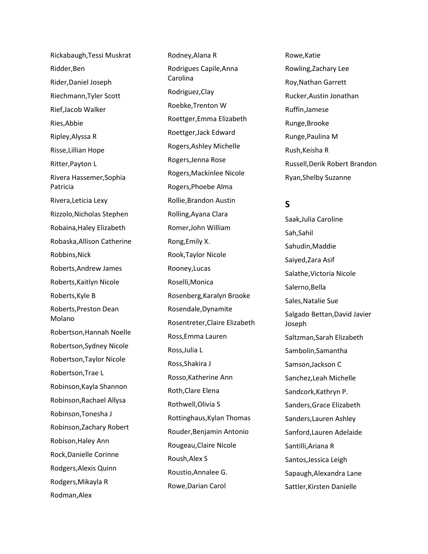Rickabaugh,Tessi Muskrat Ridder,Ben Rider,Daniel Joseph Riechmann,Tyler Scott Rief,Jacob Walker Ries,Abbie Ripley,Alyssa R Risse,Lillian Hope Ritter,Payton L Rivera Hassemer,Sophia Patricia Rivera,Leticia Lexy Rizzolo,Nicholas Stephen Robaina,Haley Elizabeth Robaska,Allison Catherine Robbins,Nick Roberts,Andrew James Roberts,Kaitlyn Nicole Roberts,Kyle B Roberts,Preston Dean Molano Robertson,Hannah Noelle Robertson,Sydney Nicole Robertson,Taylor Nicole Robertson,Trae L Robinson,Kayla Shannon Robinson,Rachael Allysa Robinson,Tonesha J Robinson,Zachary Robert Robison,Haley Ann Rock,Danielle Corinne Rodgers,Alexis Quinn Rodgers,Mikayla R Rodman,Alex

Rodney,Alana R Rodrigues Capile,Anna Carolina Rodriguez,Clay Roebke,Trenton W Roettger,Emma Elizabeth Roettger,Jack Edward Rogers,Ashley Michelle Rogers,Jenna Rose Rogers,Mackinlee Nicole Rogers,Phoebe Alma Rollie,Brandon Austin Rolling,Ayana Clara Romer,John William Rong,Emily X. Rook,Taylor Nicole Rooney,Lucas Roselli,Monica Rosenberg,Karalyn Brooke Rosendale,Dynamite Rosentreter,Claire Elizabeth Ross,Emma Lauren Ross,Julia L Ross,Shakira J Rosso,Katherine Ann Roth,Clare Elena Rothwell,Olivia S Rottinghaus,Kylan Thomas Rouder,Benjamin Antonio Rougeau,Claire Nicole Roush,Alex S Roustio,Annalee G. Rowe,Darian Carol

Rowe,Katie Rowling,Zachary Lee Roy,Nathan Garrett Rucker,Austin Jonathan Ruffin,Jamese Runge,Brooke Runge,Paulina M Rush,Keisha R Russell,Derik Robert Brandon Ryan,Shelby Suzanne

# **S**

Saak,Julia Caroline Sah,Sahil Sahudin,Maddie Saiyed,Zara Asif Salathe,Victoria Nicole Salerno,Bella Sales,Natalie Sue Salgado Bettan,David Javier Joseph Saltzman,Sarah Elizabeth Sambolin,Samantha Samson,Jackson C Sanchez,Leah Michelle Sandcork,Kathryn P. Sanders,Grace Elizabeth Sanders,Lauren Ashley Sanford,Lauren Adelaide Santilli,Ariana R Santos,Jessica Leigh Sapaugh,Alexandra Lane Sattler,Kirsten Danielle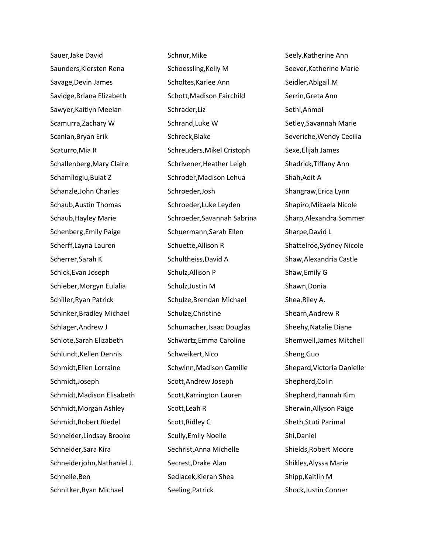Sauer,Jake David Saunders,Kiersten Rena Savage,Devin James Savidge,Briana Elizabeth Sawyer,Kaitlyn Meelan Scamurra,Zachary W Scanlan,Bryan Erik Scaturro,Mia R Schallenberg,Mary Claire Schamiloglu,Bulat Z Schanzle,John Charles Schaub,Austin Thomas Schaub,Hayley Marie Schenberg,Emily Paige Scherff,Layna Lauren Scherrer,Sarah K Schick,Evan Joseph Schieber,Morgyn Eulalia Schiller,Ryan Patrick Schinker,Bradley Michael Schlager,Andrew J Schlote,Sarah Elizabeth Schlundt,Kellen Dennis Schmidt,Ellen Lorraine Schmidt,Joseph Schmidt,Madison Elisabeth Schmidt,Morgan Ashley Schmidt,Robert Riedel Schneider,Lindsay Brooke Schneider,Sara Kira Schneiderjohn,Nathaniel J. Schnelle,Ben Schnitker,Ryan Michael

Schnur,Mike Schoessling,Kelly M Scholtes,Karlee Ann Schott,Madison Fairchild Schrader,Liz Schrand,Luke W Schreck,Blake Schreuders,Mikel Cristoph Schrivener,Heather Leigh Schroder,Madison Lehua Schroeder,Josh Schroeder,Luke Leyden Schroeder,Savannah Sabrina Schuermann,Sarah Ellen Schuette,Allison R Schultheiss,David A Schulz,Allison P Schulz,Justin M Schulze,Brendan Michael Schulze,Christine Schumacher,Isaac Douglas Schwartz,Emma Caroline Schweikert,Nico Schwinn,Madison Camille Scott,Andrew Joseph Scott,Karrington Lauren Scott,Leah R Scott,Ridley C Scully,Emily Noelle Sechrist,Anna Michelle Secrest,Drake Alan Sedlacek,Kieran Shea Seeling,Patrick

Seely,Katherine Ann Seever,Katherine Marie Seidler,Abigail M Serrin,Greta Ann Sethi,Anmol Setley,Savannah Marie Severiche,Wendy Cecilia Sexe,Elijah James Shadrick,Tiffany Ann Shah,Adit A Shangraw,Erica Lynn Shapiro,Mikaela Nicole Sharp,Alexandra Sommer Sharpe,David L Shattelroe,Sydney Nicole Shaw,Alexandria Castle Shaw,Emily G Shawn,Donia Shea,Riley A. Shearn,Andrew R Sheehy,Natalie Diane Shemwell,James Mitchell Sheng,Guo Shepard,Victoria Danielle Shepherd,Colin Shepherd,Hannah Kim Sherwin,Allyson Paige Sheth,Stuti Parimal Shi,Daniel Shields,Robert Moore Shikles,Alyssa Marie Shipp,Kaitlin M Shock,Justin Conner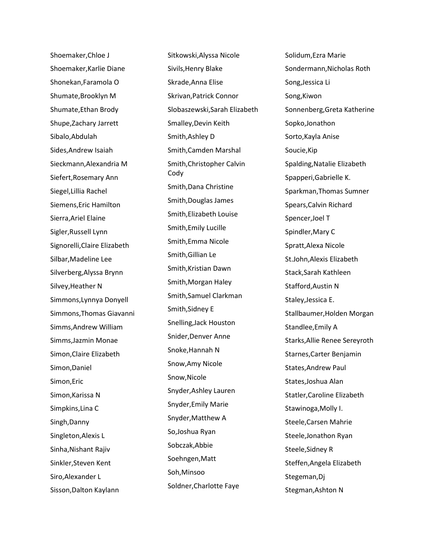Shoemaker,Chloe J Shoemaker,Karlie Diane Shonekan,Faramola O Shumate,Brooklyn M Shumate,Ethan Brody Shupe,Zachary Jarrett Sibalo,Abdulah Sides,Andrew Isaiah Sieckmann,Alexandria M Siefert,Rosemary Ann Siegel,Lillia Rachel Siemens,Eric Hamilton Sierra,Ariel Elaine Sigler,Russell Lynn Signorelli,Claire Elizabeth Silbar,Madeline Lee Silverberg,Alyssa Brynn Silvey,Heather N Simmons,Lynnya Donyell Simmons,Thomas Giavanni Simms,Andrew William Simms,Jazmin Monae Simon,Claire Elizabeth Simon,Daniel Simon,Eric Simon,Karissa N Simpkins,Lina C Singh,Danny Singleton,Alexis L Sinha,Nishant Rajiv Sinkler,Steven Kent Siro,Alexander L Sisson,Dalton Kaylann

Sitkowski,Alyssa Nicole Sivils,Henry Blake Skrade,Anna Elise Skrivan,Patrick Connor Slobaszewski,Sarah Elizabeth Smalley,Devin Keith Smith,Ashley D Smith,Camden Marshal Smith,Christopher Calvin Cody Smith,Dana Christine Smith,Douglas James Smith,Elizabeth Louise Smith,Emily Lucille Smith,Emma Nicole Smith,Gillian Le Smith,Kristian Dawn Smith,Morgan Haley Smith,Samuel Clarkman Smith,Sidney E Snelling,Jack Houston Snider,Denver Anne Snoke,Hannah N Snow,Amy Nicole Snow,Nicole Snyder,Ashley Lauren Snyder,Emily Marie Snyder,Matthew A So,Joshua Ryan Sobczak,Abbie Soehngen,Matt Soh,Minsoo Soldner,Charlotte Faye

Solidum,Ezra Marie Sondermann,Nicholas Roth Song,Jessica Li Song,Kiwon Sonnenberg,Greta Katherine Sopko,Jonathon Sorto,Kayla Anise Soucie,Kip Spalding,Natalie Elizabeth Spapperi,Gabrielle K. Sparkman,Thomas Sumner Spears,Calvin Richard Spencer,Joel T Spindler,Mary C Spratt,Alexa Nicole St.John,Alexis Elizabeth Stack,Sarah Kathleen Stafford,Austin N Staley,Jessica E. Stallbaumer,Holden Morgan Standlee,Emily A Starks,Allie Renee Sereyroth Starnes,Carter Benjamin States,Andrew Paul States,Joshua Alan Statler,Caroline Elizabeth Stawinoga,Molly I. Steele,Carsen Mahrie Steele,Jonathon Ryan Steele,Sidney R Steffen,Angela Elizabeth Stegeman,Dj Stegman,Ashton N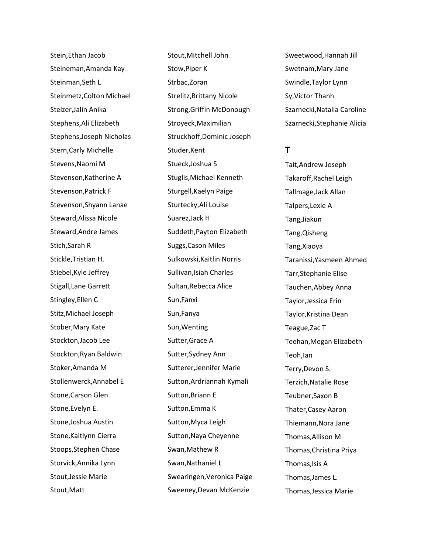Stein,Ethan Jacob Steineman,Amanda Kay Steinman,Seth L Steinmetz,Colton Michael Stelzer,Jalin Anika Stephens,Ali Elizabeth Stephens,Joseph Nicholas Stern,Carly Michelle Stevens,Naomi M Stevenson,Katherine A Stevenson,Patrick F Stevenson,Shyann Lanae Steward,Alissa Nicole Steward,Andre James Stich,Sarah R Stickle,Tristian H. Stiebel,Kyle Jeffrey Stigall,Lane Garrett Stingley,Ellen C Stitz,Michael Joseph Stober,Mary Kate Stockton,Jacob Lee Stockton,Ryan Baldwin Stoker,Amanda M Stollenwerck,Annabel E Stone,Carson Glen Stone,Evelyn E. Stone,Joshua Austin Stone,Kaitlynn Cierra Stoops,Stephen Chase Storvick,Annika Lynn Stout,Jessie Marie Stout,Matt

Stout,Mitchell John Stow,Piper K Strbac,Zoran Strelitz,Brittany Nicole Strong,Griffin McDonough Stroyeck,Maximilian Struckhoff,Dominic Joseph Studer,Kent Stueck,Joshua S Stuglis,Michael Kenneth Sturgell,Kaelyn Paige Sturtecky,Ali Louise Suarez,Jack H Suddeth,Payton Elizabeth Suggs,Cason Miles Sulkowski,Kaitlin Norris Sullivan,Isiah Charles Sultan,Rebecca Alice Sun,Fanxi Sun,Fanya Sun,Wenting Sutter,Grace A Sutter,Sydney Ann Sutterer,Jennifer Marie Sutton,Ardriannah Kymali Sutton,Briann E Sutton,Emma K Sutton,Myca Leigh Sutton,Naya Cheyenne Swan,Mathew R Swan,Nathaniel L Swearingen,Veronica Paige Sweeney,Devan McKenzie

Sweetwood,Hannah Jill Swetnam,Mary Jane Swindle,Taylor Lynn Sy,Victor Thanh Szarnecki,Natalia Caroline Szarnecki,Stephanie Alicia

## **T**

Tait,Andrew Joseph Takaroff,Rachel Leigh Tallmage,Jack Allan Talpers,Lexie A Tang,Jiakun Tang,Qisheng Tang,Xiaoya Taranissi,Yasmeen Ahmed Tarr,Stephanie Elise Tauchen,Abbey Anna Taylor,Jessica Erin Taylor,Kristina Dean Teague,Zac T Teehan,Megan Elizabeth Teoh,Ian Terry,Devon S. Terzich,Natalie Rose Teubner,Saxon B Thater,Casey Aaron Thiemann,Nora Jane Thomas,Allison M Thomas,Christina Priya Thomas,Isis A Thomas,James L. Thomas,Jessica Marie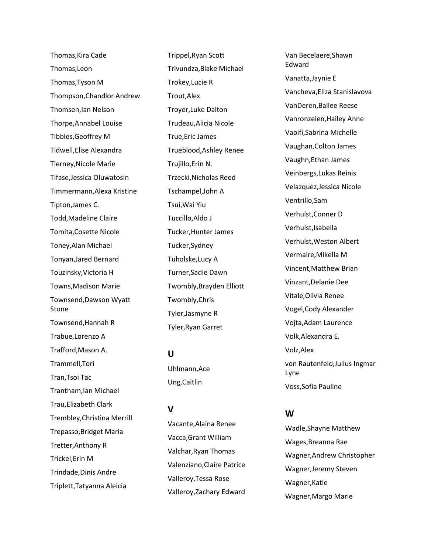Thomas,Kira Cade Thomas,Leon Thomas,Tyson M Thompson,Chandlor Andrew Thomsen,Ian Nelson Thorpe,Annabel Louise Tibbles,Geoffrey M Tidwell,Elise Alexandra Tierney,Nicole Marie Tifase,Jessica Oluwatosin Timmermann,Alexa Kristine Tipton,James C. Todd,Madeline Claire Tomita,Cosette Nicole Toney,Alan Michael Tonyan,Jared Bernard Touzinsky,Victoria H Towns,Madison Marie Townsend,Dawson Wyatt Stone Townsend,Hannah R Trabue,Lorenzo A Trafford,Mason A. Trammell,Tori Tran,Tsoi Tac Trantham,Ian Michael Trau,Elizabeth Clark Trembley,Christina Merrill Trepasso,Bridget Maria Tretter,Anthony R Trickel,Erin M Trindade,Dinis Andre Triplett,Tatyanna Aleicia

Trippel,Ryan Scott Trivundza,Blake Michael Trokey,Lucie R Trout,Alex Troyer,Luke Dalton Trudeau,Alicia Nicole True,Eric James Trueblood,Ashley Renee Trujillo,Erin N. Trzecki,Nicholas Reed Tschampel,John A Tsui,Wai Yiu Tuccillo,Aldo J Tucker,Hunter James Tucker,Sydney Tuholske,Lucy A Turner,Sadie Dawn Twombly,Brayden Elliott Twombly,Chris Tyler,Jasmyne R Tyler,Ryan Garret

## **U**

Uhlmann,Ace Ung,Caitlin

## **V**

Vacante,Alaina Renee Vacca,Grant William Valchar,Ryan Thomas Valenziano,Claire Patrice Valleroy,Tessa Rose Valleroy,Zachary Edward

Van Becelaere,Shawn Edward Vanatta,Jaynie E Vancheva,Eliza Stanislavova VanDeren,Bailee Reese Vanronzelen,Hailey Anne Vaoifi,Sabrina Michelle Vaughan,Colton James Vaughn,Ethan James Veinbergs,Lukas Reinis Velazquez,Jessica Nicole Ventrillo,Sam Verhulst,Conner D Verhulst,Isabella Verhulst,Weston Albert Vermaire,Mikella M Vincent,Matthew Brian Vinzant,Delanie Dee Vitale,Olivia Renee Vogel,Cody Alexander Vojta,Adam Laurence Volk,Alexandra E. Volz,Alex von Rautenfeld,Julius Ingmar Lyne Voss,Sofia Pauline

## **W**

Wadle,Shayne Matthew Wages,Breanna Rae Wagner,Andrew Christopher Wagner,Jeremy Steven Wagner,Katie Wagner,Margo Marie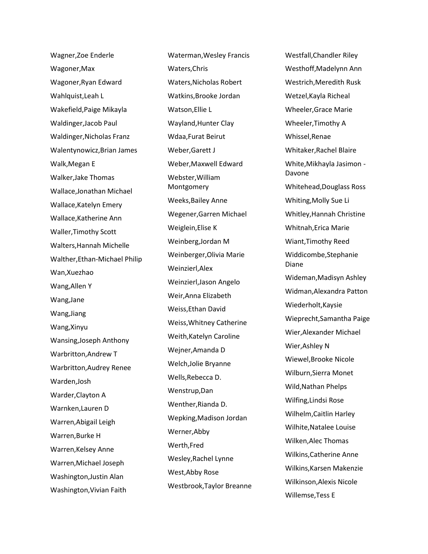Wagner,Zoe Enderle Wagoner,Max Wagoner,Ryan Edward Wahlquist,Leah L Wakefield,Paige Mikayla Waldinger,Jacob Paul Waldinger,Nicholas Franz Walentynowicz,Brian James Walk,Megan E Walker,Jake Thomas Wallace,Jonathan Michael Wallace,Katelyn Emery Wallace,Katherine Ann Waller,Timothy Scott Walters,Hannah Michelle Walther,Ethan-Michael Philip Wan,Xuezhao Wang,Allen Y Wang,Jane Wang,Jiang Wang,Xinyu Wansing,Joseph Anthony Warbritton,Andrew T Warbritton,Audrey Renee Warden,Josh Warder,Clayton A Warnken,Lauren D Warren,Abigail Leigh Warren,Burke H Warren,Kelsey Anne Warren,Michael Joseph Washington,Justin Alan Washington,Vivian Faith

Waterman,Wesley Francis Waters,Chris Waters,Nicholas Robert Watkins,Brooke Jordan Watson,Ellie L Wayland,Hunter Clay Wdaa,Furat Beirut Weber,Garett J Weber,Maxwell Edward Webster,William Montgomery Weeks,Bailey Anne Wegener,Garren Michael Weiglein,Elise K Weinberg,Jordan M Weinberger,Olivia Marie Weinzierl,Alex Weinzierl,Jason Angelo Weir,Anna Elizabeth Weiss,Ethan David Weiss,Whitney Catherine Weith,Katelyn Caroline Wejner,Amanda D Welch,Jolie Bryanne Wells,Rebecca D. Wenstrup,Dan Wenther,Rianda D. Wepking,Madison Jordan Werner,Abby Werth,Fred Wesley,Rachel Lynne West,Abby Rose Westbrook,Taylor Breanne Westfall,Chandler Riley Westhoff,Madelynn Ann Westrich,Meredith Rusk Wetzel,Kayla Richeal Wheeler,Grace Marie Wheeler,Timothy A Whissel,Renae Whitaker,Rachel Blaire White,Mikhayla Jasimon - Davone Whitehead,Douglass Ross Whiting,Molly Sue Li Whitley,Hannah Christine Whitnah,Erica Marie Wiant,Timothy Reed Widdicombe,Stephanie Diane Wideman,Madisyn Ashley Widman,Alexandra Patton Wiederholt,Kaysie Wieprecht,Samantha Paige Wier,Alexander Michael Wier,Ashley N Wiewel,Brooke Nicole Wilburn,Sierra Monet Wild,Nathan Phelps Wilfing,Lindsi Rose Wilhelm,Caitlin Harley Wilhite,Natalee Louise Wilken,Alec Thomas Wilkins,Catherine Anne Wilkins,Karsen Makenzie Wilkinson,Alexis Nicole Willemse,Tess E